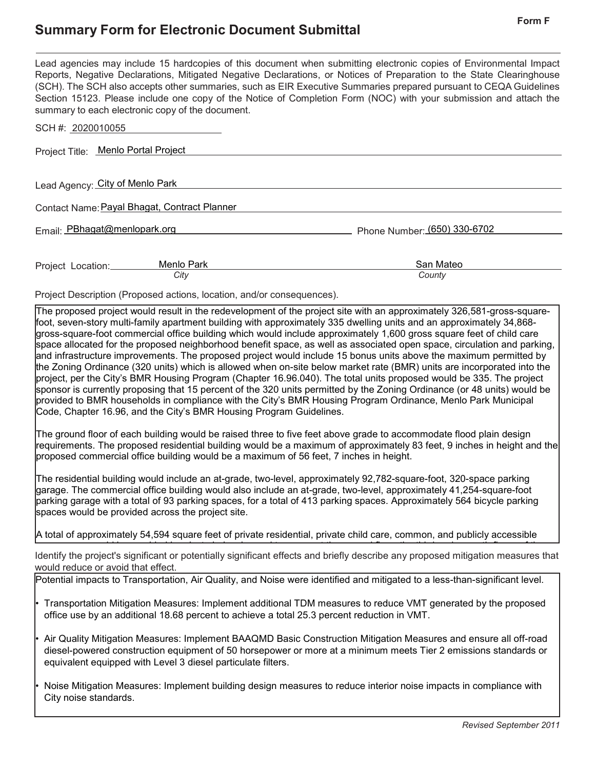## **Summary Form for Electronic Document Submittal Form <sup>F</sup>**

Lead agencies may include 15 hardcopies of this document when submitting electronic copies of Environmental Impact Reports, Negative Declarations, Mitigated Negative Declarations, or Notices of Preparation to the State Clearinghouse (SCH). The SCH also accepts other summaries, such as EIR Executive Summaries prepared pursuant to CEQA Guidelines Section 15123. Please include one copy of the Notice of Completion Form (NOC) with your submission and attach the summary to each electronic copy of the document.

| SCH #: 2020010055                            |                              |
|----------------------------------------------|------------------------------|
| Project Title: Menlo Portal Project          |                              |
| Lead Agency: City of Menlo Park              |                              |
| Contact Name: Payal Bhagat, Contract Planner |                              |
| Email: PBhagat@menlopark.org                 | Phone Number: (650) 330-6702 |
| Menlo Park<br>Project Location:<br>City      | San Mateo<br>County          |
|                                              |                              |

Project Description (Proposed actions, location, and/or consequences).

The proposed project would result in the redevelopment of the project site with an approximately 326,581-gross-squarefoot, seven-story multi-family apartment building with approximately 335 dwelling units and an approximately 34,868 gross-square-foot commercial office building which would include approximately 1,600 gross square feet of child care space allocated for the proposed neighborhood benefit space, as well as associated open space, circulation and parking, and infrastructure improvements. The proposed project would include 15 bonus units above the maximum permitted by the Zoning Ordinance (320 units) which is allowed when on-site below market rate (BMR) units are incorporated into the project, per the City's BMR Housing Program (Chapter 16.96.040). The total units proposed would be 335. The project sponsor is currently proposing that 15 percent of the 320 units permitted by the Zoning Ordinance (or 48 units) would be provided to BMR households in compliance with the City's BMR Housing Program Ordinance, Menlo Park Municipal Code, Chapter 16.96, and the City's BMR Housing Program Guidelines.

The ground floor of each building would be raised three to five feet above grade to accommodate flood plain design requirements. The proposed residential building would be a maximum of approximately 83 feet, 9 inches in height and the proposed commercial office building would be a maximum of 56 feet, 7 inches in height.

The residential building would include an at-grade, two-level, approximately 92,782-square-foot, 320-space parking garage. The commercial office building would also include an at-grade, two-level, approximately 41,254-square-foot parking garage with a total of 93 parking spaces, for a total of 413 parking spaces. Approximately 564 bicycle parking spaces would be provided across the project site.

A total of approximately 54,594 square feet of private residential, private child care, common, and publicly accessible

Identify the project's significant or potentially significant effects and briefly describe any proposed mitigation measures that would reduce or avoid that effect. ld b id d i i t b l i d t t th d fl th thi d d th fl f th

Potential impacts to Transportation, Air Quality, and Noise were identified and mitigated to a less-than-significant level.

• Transportation Mitigation Measures: Implement additional TDM measures to reduce VMT generated by the proposed office use by an additional 18.68 percent to achieve a total 25.3 percent reduction in VMT.

• Air Quality Mitigation Measures: Implement BAAQMD Basic Construction Mitigation Measures and ensure all off-road diesel-powered construction equipment of 50 horsepower or more at a minimum meets Tier 2 emissions standards or equivalent equipped with Level 3 diesel particulate filters.

• Noise Mitigation Measures: Implement building design measures to reduce interior noise impacts in compliance with City noise standards.